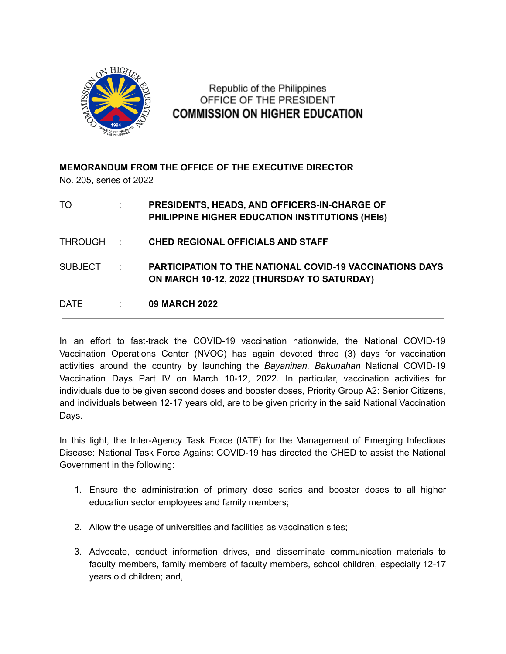

Republic of the Philippines OFFICE OF THE PRESIDENT **COMMISSION ON HIGHER EDUCATION** 

**MEMORANDUM FROM THE OFFICE OF THE EXECUTIVE DIRECTOR** No. 205, series of 2022

| TO          |                 | PRESIDENTS, HEADS, AND OFFICERS-IN-CHARGE OF<br>PHILIPPINE HIGHER EDUCATION INSTITUTIONS (HEIS)                |
|-------------|-----------------|----------------------------------------------------------------------------------------------------------------|
| THROUGH :   |                 | <b>CHED REGIONAL OFFICIALS AND STAFF</b>                                                                       |
| SUBJECT:    |                 | <b>PARTICIPATION TO THE NATIONAL COVID-19 VACCINATIONS DAYS</b><br>ON MARCH 10-12, 2022 (THURSDAY TO SATURDAY) |
| <b>DATE</b> | $\sim 10^{-10}$ | <b>09 MARCH 2022</b>                                                                                           |

In an effort to fast-track the COVID-19 vaccination nationwide, the National COVID-19 Vaccination Operations Center (NVOC) has again devoted three (3) days for vaccination activities around the country by launching the *Bayanihan, Bakunahan* National COVID-19 Vaccination Days Part IV on March 10-12, 2022. In particular, vaccination activities for individuals due to be given second doses and booster doses, Priority Group A2: Senior Citizens, and individuals between 12-17 years old, are to be given priority in the said National Vaccination Days.

In this light, the Inter-Agency Task Force (IATF) for the Management of Emerging Infectious Disease: National Task Force Against COVID-19 has directed the CHED to assist the National Government in the following:

- 1. Ensure the administration of primary dose series and booster doses to all higher education sector employees and family members;
- 2. Allow the usage of universities and facilities as vaccination sites;
- 3. Advocate, conduct information drives, and disseminate communication materials to faculty members, family members of faculty members, school children, especially 12-17 years old children; and,